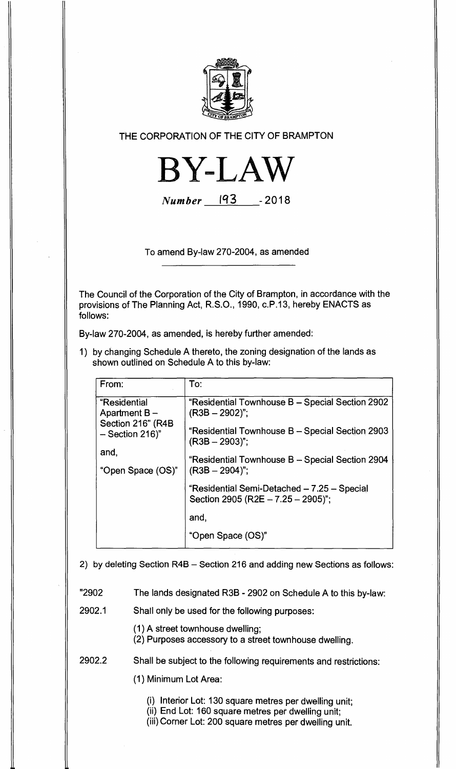

THE CORPORATION OF THE CITY OF BRAMPTON



**Number 193 -2018** 

To amend By-law 270-2004, as amended

The Council of the Corporation of the City of Brampton, in accordance with the provisions of The Planning Act, R.S.O., 1990, c.P.13, hereby ENACTS as follows:

By-law 270-2004, as amended, is hereby further amended:

1) by changing Schedule A thereto, the zoning designation of the lands as shown outlined on Schedule A to this by-law:

| To:                                                                                  |
|--------------------------------------------------------------------------------------|
| "Residential Townhouse B - Special Section 2902<br>$(R3B - 2902)$ ";                 |
| "Residential Townhouse B - Special Section 2903<br>$(R3B - 2903)$ ";                 |
| "Residential Townhouse B - Special Section 2904<br>$(R3B - 2904)$ ";                 |
| "Residential Semi-Detached - 7.25 - Special<br>Section 2905 (R2E $- 7.25 - 2905$ )"; |
| and,                                                                                 |
| "Open Space (OS)"                                                                    |
|                                                                                      |

2) by deleting Section R4B — Section 216 and adding new Sections as follows:

"2902 The lands designated R3B - 2902 on Schedule A to this by-law:

2902.1 Shall only be used for the following purposes:

- (1) A street townhouse dwelling;
- (2) Purposes accessory to a street townhouse dwelling.

2902.2 Shall be subject to the following requirements and restrictions:

(1) Minimum Lot Area:

(i) Interior Lot: 130 square metres per dwelling unit;

(ii) End Lot: 160 square metres per dwelling unit;

(iii) Corner Lot: 200 square metres per dwelling unit.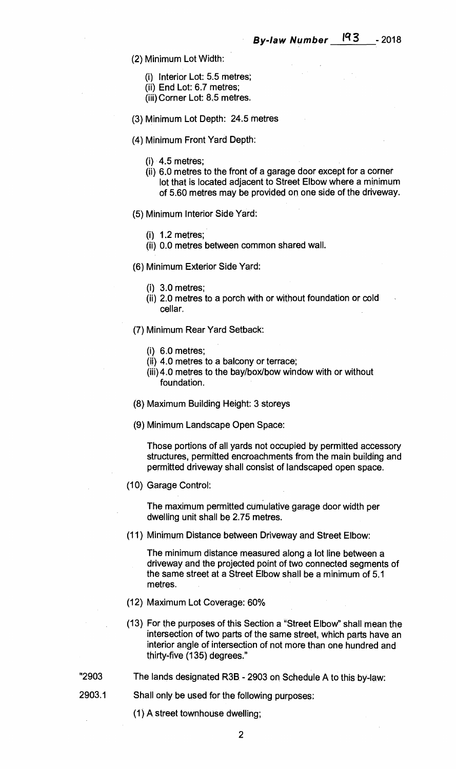- **(2) Minimum Lot Width:** 
	- **(i) Interior Lot: 5.5 metres;**
	- **(ii) End Lot: 6.7 metres;**
	- **(iii) Corner Lot: 8.5 metres.**
- **(3) Minimum Lot Depth: 24.5 metres**
- **(4) Minimum Front Yard Depth:** 
	- **(i) 4.5 metres;**
	- **(ii) 6.0 metres to the front of a garage door except for a corner lot that is located adjacent to Street Elbow where a minimum of 5.60 metres may be provided on one side of the driveway.**
- **(5) Minimum Interior Side Yard:** 
	- **(i) 1.2 metres;**
	- **(ii) 0.0 metres between common shared wall.**
- **(6) Minimum Exterior Side Yard:** 
	- **(i) 3.0 metres;**
	- **(ii) 2.0 metres to a porch with or without foundation or cold cellar.**
- **(7) Minimum Rear Yard Setback:** 
	- **(i) 6.0 metres;**
	- **(ii) 4.0 metres to a balcony or terrace;**
	- **(iii)4.0 metres to the bay/box/bow window with or without foundation.**
- **(8) Maximum Building Height: 3 storeys**
- **(9) Minimum Landscape Open Space:**

**Those portions of all yards not occupied by permitted accessory structures, permitted encroachments from the main building and permitted driveway shall consist of landscaped open space.** 

**(10) Garage Control:** 

**The maximum permitted cumulative garage door width per dwelling unit shall be 2.75 metres.** 

**(11) Minimum Distance between Driveway and Street Elbow:** 

**The minimum distance measured along a lot line between a driveway and the projected point of two connected segments of the same street at a Street Elbow shall be a minimum of 5.1 metres.** 

- **(12) Maximum Lot Coverage: 60%**
- **(13) For the purposes of this Section a "Street Elbow" shall mean the intersection of two parts of the same street, which parts have an interior angle of intersection of not more than one hundred and thirty-five (135) degrees."**
- **"2903 The lands designated R3B 2903 on Schedule A to this by-law:**
- **2903.1 Shall only be used for the following purposes:** 
	- **(1) A street townhouse dwelling;**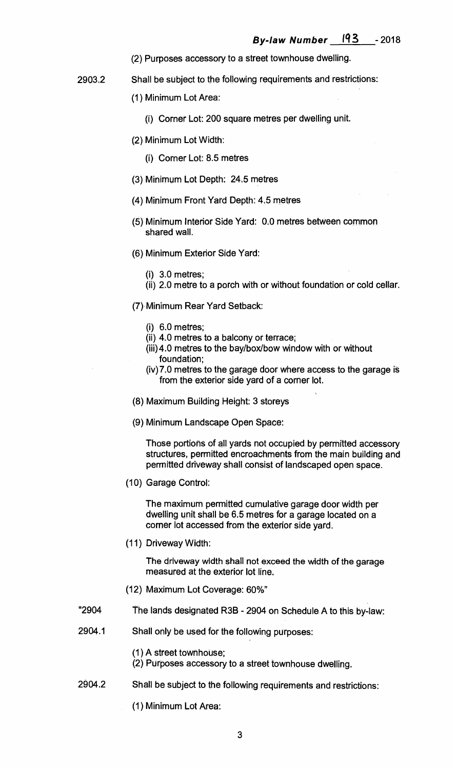- **(2) Purposes accessory to a street townhouse dwelling.**
- **2903.2 Shall be subject to the following requirements and restrictions:** 
	- **(1) Minimum Lot. Area:** 
		- **(i) Corner Lot: 200 square metres per dwelling unit.**
	- **(2) Minimum Lot Width:** 
		- **(i) Corner Lot: 8.5 metres**
	- **(3) Minimum Lot Depth: 24.5 metres**
	- **(4) Minimum Front Yard Depth: 4.5 metres**
	- **(5) Minimum Interior Side Yard: 0.0 metres between common shared wall.**
	- **(6) Minimum Exterior Side Yard:** 
		- **(i) 3.0 metres;**
		- **(ii) 2.0 metre to a porch with or without foundation or cold cellar.**
	- **(7) Minimum Rear Yard Setback:** 
		- **(i) 6.0 metres;**
		- **(ii) 4.0 metres to a balcony or terrace;**
		- **(iii)4.0 metres to the bay/box/bow window with or without foundation;**
		- **(iv)7.0 metres to the garage door where access to the garage is from the exterior side yard of a corner lot.**
	- **(8) Maximum Building Height: 3 storeys**
	- **(9) Minimum Landscape Open Space:**

**Those portions of all yards not occupied by permitted accessory structures, permitted encroachments from the main building and permitted driveway shall consist of landscaped open space.** 

**(10) Garage Control:** 

**The maximum permitted cumulative garage door width per dwelling unit shall be 6.5 metres for a garage located on a corner lot accessed from the exterior side yard.** 

**(11) Driveway Width:** 

**The driveway width shall not exceed the width of the garage measured at the exterior lot line.** 

- **(12) Maximum Lot Coverage: 60%"**
- **"2904 The lands designated R3B 2904 on Schedule A to this by-law:**
- **2904.1 Shall only be used for the following purposes:** 
	- **(1) A street townhouse;**
	- **(2) Purposes accessory to a street townhouse dwelling.**
- **2904.2 Shall be subject to the following requirements and restrictions:** 
	- **(1) Minimum Lot Area:**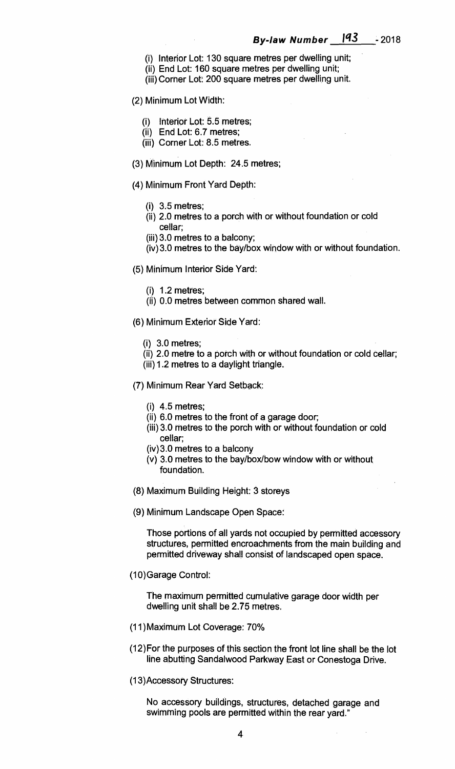- **(i) Interior Lot: 130 square metres per dwelling unit;**
- **(ii) End Lot: 160 square metres per dwelling unit;**
- **(iii) Corner Lot: 200 square metres per dwelling unit.**

## **(2) Minimum Lot Width:**

- **(i) Interior Lot: 5.5 metres;**
- **(ii) End Lot: 6.7 metres;**
- **(iii) Corner Lot: 8.5 metres.**
- **(3) Minimum Lot Depth: 24.5 metres;**
- **(4) Minimum Front Yard Depth:** 
	- **(i) 3.5 metres;**
	- **(ii) 2.0 metres to a porch with or without foundation or cold cellar;**
	- **(iii) 3.0 metres to a balcony;**
	- **(iv)3.0 metres to the bay/box window with or without foundation.**
- **(5) Minimum Interior Side Yard:** 
	- **(i) 1.2 metres;**
	- **(ii) 0.0 metres between common shared wall.**
- **(6) Minimum Exterior Side Yard:** 
	- **(i) 3.0 metres;**
	- **(ii) 2.0 metre to a porch with or without foundation or cold cellar;**
	- **(iii) 1.2 metres to a daylight triangle.**
- **(7) Minimum Rear Yard Setback:** 
	- **(i) 4.5 metres;**
	- **(ii) 6.0 metres to the front of a garage door;**
	- **(iii) 3.0 metres to the porch with or without foundation or cold cellar;**
	- **(iv)3.0 metres to a balcony**
	- **(v) 3.0 metres to the bay/box/bow window with or without foundation.**
- **(8) Maximum Building Height: 3 storeys**
- **(9) Minimum Landscape Open Space:**

**Those portions of all yards not occupied by permitted accessory structures, permitted encroachments from the main building and permitted driveway shall consist of landscaped open space.** 

**(10)Garage Control:** 

**The maximum permitted cumulative garage door width per dwelling unit shall be 2.75 metres.** 

- **(11)Maximum Lot Coverage: 70%**
- **(12)For the purposes of this section the front lot line shall be the lot line abutting Sandalwood Parkway East or Conestoga Drive.**
- **(13)Accessory Structures:**

**No accessory buildings, structures, detached garage and swimming pools are permitted within the rear yard."**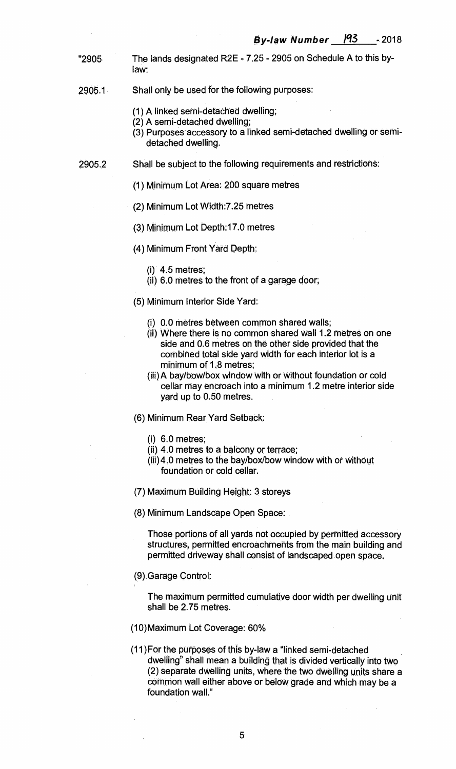- "2905 The lands designated R2E 7.25 2905 on Schedule A to this bylaw:
- 2905.1 Shall only be used for the following purposes:
	- (1) A linked semi-detached dwelling;
	- (2) A semi-detached dwelling;
	- (3) Purposes accessory to a linked semi-detached dwelling or semidetached dwelling.
- 2905.2 Shall be subject to the following requirements and restrictions:
	- (1) Minimum Lot Area: 200 square metres
	- (2) Minimum Lot Width:7.25 metres
	- (3) Minimum Lot Depth:17.0 metres
	- (4) Minimum Front Yard Depth:
		- $(i)$  4.5 metres;
		- (ii) 6.0 metres to the front of a garage door;
	- (5) Minimum Interior Side Yard:
		- (i) 0.0 metres between common shared walls;
		- (ii) Where there is no common shared wall 1.2 metres on one side and 0.6 metres on the other side provided that the combined total side yard width for each interior lot is a minimum of 1.8 metres;
		- (iii) A bay/bow/box window with or without foundation or cold cellar may encroach into a minimum 1.2 metre interior side yard up to 0.50 metres.
	- (6) Minimum Rear Yard Setback:
		- (i) 6.0 metres;
		- (ii) 4.0 metres to a balcony or terrace;
		- (iii) 4,0 metres to the bay/box/bow window with or without foundation or cold cellar.
	- (7) Maximum Building Height: 3 storeys
	- (8) Minimum Landscape Open Space:

Those portions of all yards not occupied by permitted accessory structures, permitted encroachments from the main building and permitted driveway shall consist of landscaped open space.

(9) Garage Control:

The maximum permitted cumulative door width per dwelling unit shall be 2.75 metres.

- (10)Maximum Lot Coverage: 60%
- (11)For the purposes of this by-law a "linked semi-detached dwelling" shall mean a building that is divided vertically into two (2) separate dwelling units, where the two dwelling units share a common wall either above or below grade and which may be a foundation wall."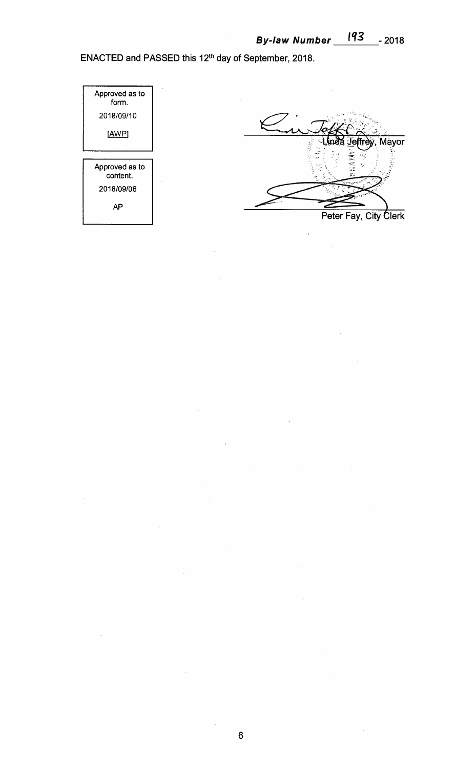**ENACTED and PASSED this 12th day of September, 2018.** 



**6** 

 $\hat{\boldsymbol{\beta}}$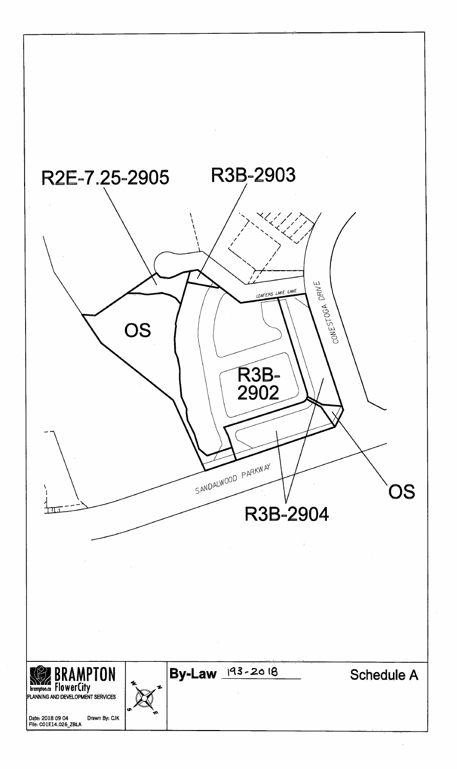